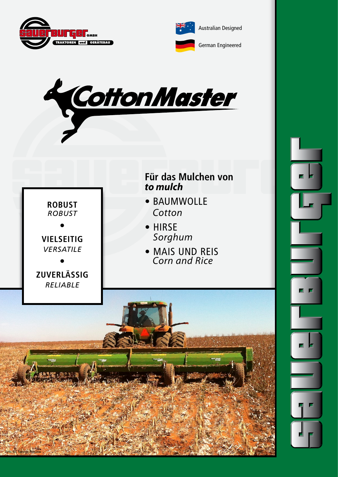

**ROBUST** *ROBUST*

**•**

**VIELSEITIG** *VERSATILE*

**•**

**ZUVERLÄSSIG**







- BAUMWOLLE *Cotton*
- HIRSE *Sorghum*
- MAIS UND REIS *Corn and Rice*